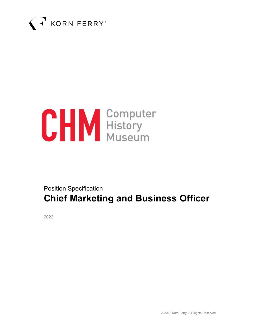



# Position Specification Chief Marketing and Business Officer

2022

© 2022 Korn Ferry. All Rights Reserved.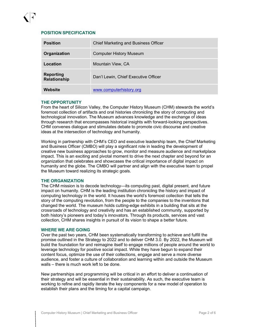# POSITION SPECIFICATION

| <b>Position</b>                         | <b>Chief Marketing and Business Officer</b> |
|-----------------------------------------|---------------------------------------------|
| Organization                            | <b>Computer History Museum</b>              |
| Location                                | Mountain View, CA                           |
| <b>Reporting</b><br><b>Relationship</b> | Dan'l Lewin, Chief Executive Officer        |
| Website                                 | www.computerhistory.org                     |

#### THE OPPORTUNITY

From the heart of Silicon Valley, the Computer History Museum (CHM) stewards the world's foremost collection of artifacts and oral histories chronicling the story of computing and technological innovation. The Museum advances knowledge and the exchange of ideas through research that encompasses historical insights with forward-looking perspectives. CHM convenes dialogue and stimulates debate to promote civic discourse and creative ideas at the intersection of technology and humanity.

Working in partnership with CHM's CEO and executive leadership team, the Chief Marketing and Business Officer (CMBO) will play a significant role in leading the development of creative new business approaches to grow, monitor and measure audience and marketplace impact. This is an exciting and pivotal moment to drive the next chapter and beyond for an organization that celebrates and showcases the critical importance of digital impact on humanity and the globe. The CMBO will partner and align with the executive team to propel the Museum toward realizing its strategic goals.

#### THE ORGANIZATION

The CHM mission is to decode technology—its computing past, digital present, and future impact on humanity. CHM is the leading institution chronicling the history and impact of computing technology in the world. It houses the world's foremost collection that tells the story of the computing revolution, from the people to the companies to the inventions that changed the world. The museum holds cutting-edge exhibits in a building that sits at the crossroads of technology and creativity and has an established community, supported by both history's pioneers and today's innovators. Through its products, services and vast collection, CHM shares insights in pursuit of its vision to shape a better future.

#### WHERE WE ARE GOING

Over the past two years, CHM been systematically transforming to achieve and fulfill the promise outlined in the Strategy to 2022 and to deliver CHM 3.0. By 2022, the Museum will build the foundation for and reimagine itself to engage millions of people around the world to leverage technology for positive social impact. While they have begun to expand their content focus, optimize the use of their collections, engage and serve a more diverse audience, and foster a culture of collaboration and learning within and outside the Museum walls – there is much work left to be done.

New partnerships and programming will be critical in an effort to deliver a continuation of their strategy and will be essential in their sustainability. As such, the executive team is working to refine and rapidly iterate the key components for a new model of operation to establish their plans and the timing for a capital campaign.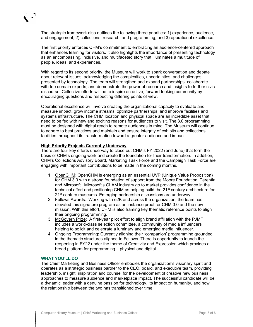The strategic framework also outlines the following three priorities: 1) experience, audience, and engagement; 2) collections, research, and programming; and 3) operational excellence.

The first priority enforces CHM's commitment to embracing an audience-centered approach that enhances learning for visitors. It also highlights the importance of presenting technology as an encompassing, inclusive, and multifaceted story that illuminates a multitude of people, ideas, and experiences.

With regard to its second priority, the Museum will work to spark conversation and debate about relevant issues, acknowledging the complexities, uncertainties, and challenges presented by technology. The team will strengthen and expand partnerships, collaborate with top domain experts, and demonstrate the power of research and insights to further civic discourse. Collective efforts will be to inspire an active, forward-looking community by encouraging questions and respecting differing points of view.

Operational excellence will involve creating the organizational capacity to evaluate and measure impact, grow income streams, optimize partnerships, and improve facilities and systems infrastructure. The CHM location and physical space are an incredible asset that need to be fed with new and exciting reasons for audiences to visit. The 3.0 programming must be designed with digital reach to remote audiences in mind. The Museum will continue to adhere to best practices and maintain and ensure integrity of exhibits and collections facilities throughout its transformation toward a greater audience and impact.

#### High Priority Projects Currently Underway

There are four key efforts underway to close out CHM's FY 2022 (end June) that form the basis of CHM's ongoing work and create the foundation for their transformation. In addition, CHM's Collections Advisory Board, Marketing Task Force and the Campaign Task Force are engaging with important contributions to be made in the coming months.

- 1. OpenCHM: OpenCHM is emerging as an essential UVP (Unique Value Proposition) for CHM 3.0 with a strong foundation of support from the Moore Foundation, Terentia and Microsoft. Microsoft's GLAM industry go to market provides confidence in the technical effort and positioning CHM as helping build the  $21<sup>st</sup>$  century architecture for 21<sup>st</sup> century museums. Emerging partnership discussions are underway.
- 2. Fellows Awards: Working with e2K and across the organization, the team has elevated this signature program as an instance proof for CHM 3.0 and the new mission. With this effort, CHM is also framing key thematic reference points to align their ongoing programming.
- 3. McGovern Prize: A first-year pilot effort to align brand affiliation with the PJMF includes a world-class selection committee, a community of media influencers helping to solicit and celebrate a luminary and emerging media influencer.
- 4. Ongoing Programming: Currently aligning their 'companion' programming grounded in the thematic structures aligned to Fellows. There is opportunity to launch the reopening in FY22 under the theme of Creativity and Expression which provides a broad platform for programming – physical and digital.

## WHAT YOU'LL DO

The Chief Marketing and Business Officer embodies the organization's visionary spirit and operates as a strategic business partner to the CEO, board, and executive team, providing leadership, insight, inspiration and counsel for the development of creative new business approaches to measure audience and marketplace impact. The successful candidate will be a dynamic leader with a genuine passion for technology, its impact on humanity, and how the relationship between the two has transitioned over time.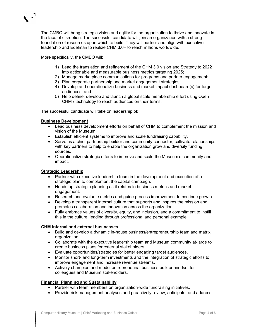The CMBO will bring strategic vision and agility for the organization to thrive and innovate in the face of disruption. The successful candidate will join an organization with a strong foundation of resources upon which to build. They will partner and align with executive leadership and Edelman to realize CHM 3.0– to reach millions worldwide.

More specifically, the CMBO will:

- 1) Lead the translation and refinement of the CHM 3.0 vision and Strategy to 2022 into actionable and measurable business metrics targeting 2025;
- 2) Manage marketplace communications for programs and partner engagement;
- 3) Plan corporate partnership and market engagement strategies;
- 4) Develop and operationalize business and market impact dashboard(s) for target audiences; and
- 5) Help define, develop and launch a global scale membership effort using Open CHM / technology to reach audiences on their terms.

The successful candidate will take on leadership of:

## Business Development

- Lead business development efforts on behalf of CHM to complement the mission and vision of the Museum.
- Establish efficient systems to improve and scale fundraising capability.
- Serve as a chief partnership builder and community connector; cultivate relationships with key partners to help to enable the organization grow and diversify funding sources.
- Operationalize strategic efforts to improve and scale the Museum's community and impact.

#### Strategic Leadership

- Partner with executive leadership team in the development and execution of a strategic plan to complement the capital campaign.
- Heads up strategic planning as it relates to business metrics and market engagement.
- Research and evaluate metrics and guide process improvement to continue growth.
- Develop a transparent internal culture that supports and inspires the mission and promotes collaboration and innovation across the organization.
- Fully embrace values of diversity, equity, and inclusion, and a commitment to instill this in the culture, leading through professional and personal example.

## CHM internal and external businesses

- Build and develop a dynamic in-house business/entrepreneurship team and matrix organization.
- Collaborate with the executive leadership team and Museum community at-large to create business plans for external stakeholders.
- Evaluate opportunities/strategies for better engaging target audiences.
- Monitor short- and long-term investments and the integration of strategic efforts to improve engagement and increase revenue streams.
- Actively champion and model entrepreneurial business builder mindset for colleagues and Museum stakeholders.

### Financial Planning and Sustainability

- Partner with team members on organization-wide fundraising initiatives.
- Provide risk management analyses and proactively review, anticipate, and address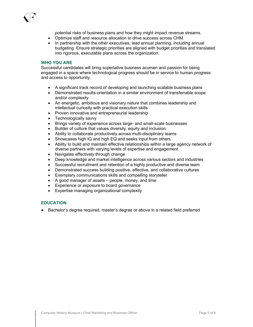potential risks of business plans and how they might impact revenue streams.

- Optimize staff and resource allocation to drive success across CHM.
- In partnership with the other executives, lead annual planning, including annual budgeting. Ensure strategic priorities are aligned with budget priorities and translated into rigorous, executable plans across the organization.

#### WHO YOU ARE

Successful candidates will bring superlative business acumen and passion for being engaged in a space where technological progress should be in service to human progress and access to opportunity.

- A significant track record of developing and launching scalable business plans
- Demonstrated results-orientation in a similar environment of transferrable scope and/or complexity
- An energetic, ambitious and visionary nature that combines leadership and intellectual curiosity with practical execution skills
- Proven innovative and entrepreneurial leadership
- Technologically savvy
- Brings variety of experience across large- and small-scale businesses
- Builder of culture that values diversity, equity and inclusion
- Ability to collaborate productively across multi-disciplinary teams
- Showcases high IQ and high EQ and seeks input from others
- Ability to build and maintain effective relationships within a large agency network of diverse partners with varying levels of expertise and engagement
- Navigates effectively through change
- Deep knowledge and market intelligence across various sectors and industries
- Successful recruitment and retention of a highly productive and diverse team
- Demonstrated success building positive, effective, and collaborative cultures
- Exemplary communications skills and compelling storyteller
- A good manager of assets people, money, and time
- Experience or exposure to board governance
- Expertise managing organizational complexity

## EDUCATION

Bachelor's degree required, master's degree or above in a related field preferred